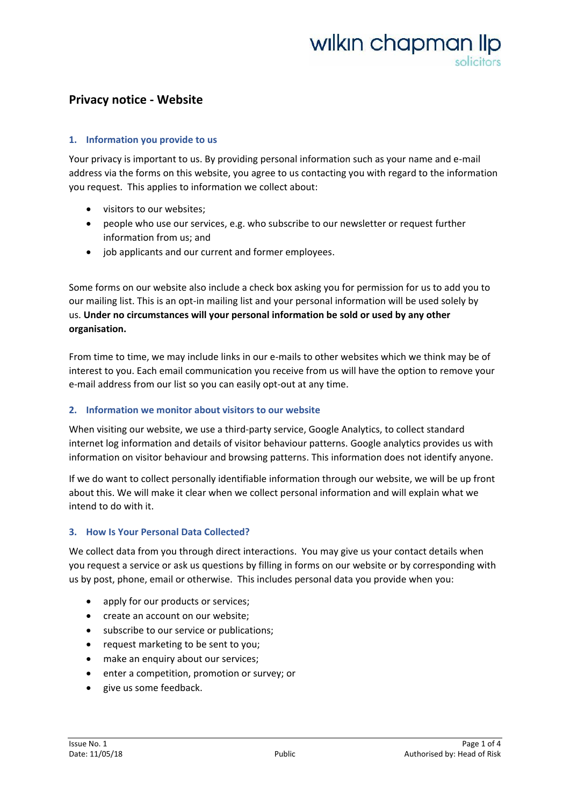### **Privacy notice - Website**

### **1. Information you provide to us**

Your privacy is important to us. By providing personal information such as your name and e-mail address via the forms on this website, you agree to us contacting you with regard to the information you request. This applies to information we collect about:

- [visitors to our websites;](https://ico.org.uk/global/privacy-notice/#visitors)
- people who use our services, e.g. [who subscribe to our newsletter or request](https://ico.org.uk/global/privacy-notice/#services) further [information from us;](https://ico.org.uk/global/privacy-notice/#services) and
- [job applicants and our current and former employees.](https://ico.org.uk/global/privacy-notice/#job)

Some forms on our website also include a check box asking you for permission for us to add you to our mailing list. This is an opt-in mailing list and your personal information will be used solely by us. **Under no circumstances will your personal information be sold or used by any other organisation.**

From time to time, we may include links in our e-mails to other websites which we think may be of interest to you. Each email communication you receive from us will have the option to remove your e-mail address from our list so you can easily opt-out at any time.

### **2. Information we monitor about visitors to our website**

When visiting our website, we use a third-party service, Google Analytics, to collect standard internet log information and details of visitor behaviour patterns. Google analytics provides us with information on visitor behaviour and browsing patterns. This information does not identify anyone.

If we do want to collect personally identifiable information through our website, we will be up front about this. We will make it clear when we collect personal information and will explain what we intend to do with it.

### **3. How Is Your Personal Data Collected?**

We collect data from you through direct interactions.You may give us your contact details when you request a service or ask us questions by filling in forms on our website or by corresponding with us by post, phone, email or otherwise. This includes personal data you provide when you:

- apply for our products or services;
- create an account on our website;
- subscribe to our service or publications;
- request marketing to be sent to you;
- make an enquiry about our services;
- enter a competition, promotion or survey; or
- give us some feedback.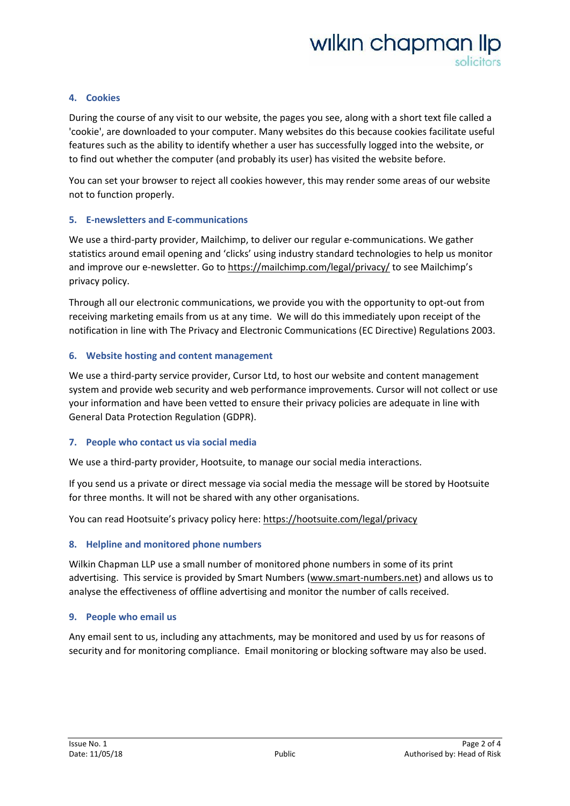### **4. Cookies**

During the course of any visit to our website, the pages you see, along with a short text file called a 'cookie', are downloaded to your computer. Many websites do this because cookies facilitate useful features such as the ability to identify whether a user has successfully logged into the website, or to find out whether the computer (and probably its user) has visited the website before.

You can set your browser to reject all cookies however, this may render some areas of our website not to function properly.

### **5. E-newsletters and E-communications**

We use a third-party provider, Mailchimp, to deliver our regular e-communications. We gather statistics around email opening and 'clicks' using industry standard technologies to help us monitor and improve our e-newsletter. Go to<https://mailchimp.com/legal/privacy/> to see Mailchimp's privacy policy.

Through all our electronic communications, we provide you with the opportunity to opt-out from receiving marketing emails from us at any time. We will do this immediately upon receipt of the notification in line with The Privacy and Electronic Communications (EC Directive) Regulations 2003.

### **6. Website hosting and content management**

We use a third-party service provider, Cursor Ltd, to host our website and content management system and provide web security and web performance improvements. Cursor will not collect or use your information and have been vetted to ensure their privacy policies are adequate in line with General Data Protection Regulation (GDPR).

### **7. People who contact us via social media**

We use a third-party provider, Hootsuite, to manage our social media interactions.

If you send us a private or direct message via social media the message will be stored by Hootsuite for three months. It will not be shared with any other organisations.

You can read Hootsuite's privacy policy here: <https://hootsuite.com/legal/privacy>

### **8. Helpline and monitored phone numbers**

Wilkin Chapman LLP use a small number of monitored phone numbers in some of its print advertising. This service is provided by Smart Numbers [\(www.smart-numbers.net\)](http://www.smart-numbers.net/) and allows us to analyse the effectiveness of offline advertising and monitor the number of calls received.

### **9. People who email us**

Any email sent to us, including any attachments, may be monitored and used by us for reasons of security and for monitoring compliance. Email monitoring or blocking software may also be used.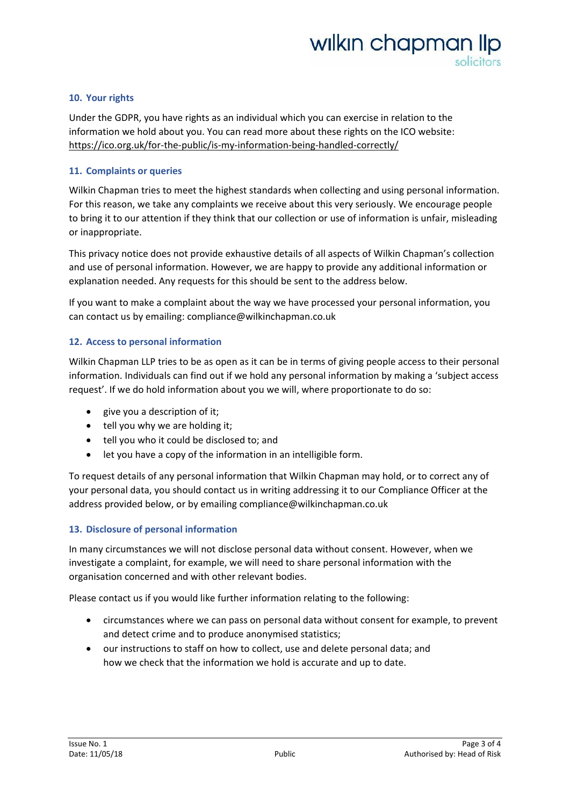### **10. Your rights**

Under the GDPR, you have rights as an individual which you can exercise in relation to the information we hold about you. You can read more about these rights on the ICO website: <https://ico.org.uk/for-the-public/is-my-information-being-handled-correctly/>

### **11. Complaints or queries**

Wilkin Chapman tries to meet the highest standards when collecting and using personal information. For this reason, we take any complaints we receive about this very seriously. We encourage people to bring it to our attention if they think that our collection or use of information is unfair, misleading or inappropriate.

This privacy notice does not provide exhaustive details of all aspects of Wilkin Chapman's collection and use of personal information. However, we are happy to provide any additional information or explanation needed. Any requests for this should be sent to the address below.

If you want to make a complaint about the way we have processed your personal information, you can contact us by emailing: compliance@wilkinchapman.co.uk

### **12. Access to personal information**

Wilkin Chapman LLP tries to be as open as it can be in terms of giving people access to their personal information. Individuals can find out if we hold any personal information by making a 'subject access request'. If we do hold information about you we will, where proportionate to do so:

- give you a description of it;
- tell you why we are holding it;
- tell you who it could be disclosed to; and
- let you have a copy of the information in an intelligible form.

To request details of any personal information that Wilkin Chapman may hold, or to correct any of your personal data, you should contact us in writing addressing it to our Compliance Officer at the address provided below, or by emailing compliance@wilkinchapman.co.uk

### **13. Disclosure of personal information**

In many circumstances we will not disclose personal data without consent. However, when we investigate a complaint, for example, we will need to share personal information with the organisation concerned and with other relevant bodies.

Please contact us if you would like further information relating to the following:

- circumstances where we can pass on personal data without consent for example, to prevent and detect crime and to produce anonymised statistics;
- our instructions to staff on how to collect, use and delete personal data; and how we check that the information we hold is accurate and up to date.